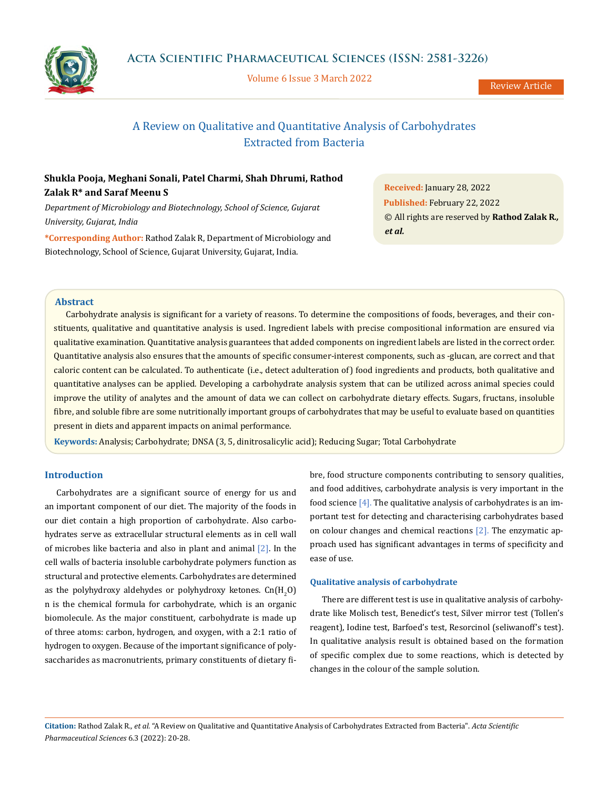

Volume 6 Issue 3 March 2022

# A Review on Qualitative and Quantitative Analysis of Carbohydrates Extracted from Bacteria

# **Shukla Pooja, Meghani Sonali, Patel Charmi, Shah Dhrumi, Rathod Zalak R\* and Saraf Meenu S**

*Department of Microbiology and Biotechnology, School of Science, Gujarat University, Gujarat, India*

**\*Corresponding Author:** Rathod Zalak R, Department of Microbiology and Biotechnology, School of Science, Gujarat University, Gujarat, India.

**Received:** January 28, 2022 **Published:** February 22, 2022 © All rights are reserved by **Rathod Zalak R***., et al.*

# **Abstract**

Carbohydrate analysis is significant for a variety of reasons. To determine the compositions of foods, beverages, and their constituents, qualitative and quantitative analysis is used. Ingredient labels with precise compositional information are ensured via qualitative examination. Quantitative analysis guarantees that added components on ingredient labels are listed in the correct order. Quantitative analysis also ensures that the amounts of specific consumer-interest components, such as -glucan, are correct and that caloric content can be calculated. To authenticate (i.e., detect adulteration of) food ingredients and products, both qualitative and quantitative analyses can be applied. Developing a carbohydrate analysis system that can be utilized across animal species could improve the utility of analytes and the amount of data we can collect on carbohydrate dietary effects. Sugars, fructans, insoluble fibre, and soluble fibre are some nutritionally important groups of carbohydrates that may be useful to evaluate based on quantities present in diets and apparent impacts on animal performance.

**Keywords:** Analysis; Carbohydrate; DNSA (3, 5, dinitrosalicylic acid); Reducing Sugar; Total Carbohydrate

# **Introduction**

Carbohydrates are a significant source of energy for us and an important component of our diet. The majority of the foods in our diet contain a high proportion of carbohydrate. Also carbohydrates serve as extracellular structural elements as in cell wall of microbes like bacteria and also in plant and animal [2]. In the cell walls of bacteria insoluble carbohydrate polymers function as structural and protective elements. Carbohydrates are determined as the polyhydroxy aldehydes or polyhydroxy ketones.  $\mathsf{Cn}(\mathsf{H}_2\mathsf{O})$ n is the chemical formula for carbohydrate, which is an organic biomolecule. As the major constituent, carbohydrate is made up of three atoms: carbon, hydrogen, and oxygen, with a 2:1 ratio of hydrogen to oxygen. Because of the important significance of polysaccharides as macronutrients, primary constituents of dietary fibre, food structure components contributing to sensory qualities, and food additives, carbohydrate analysis is very important in the food science [4]. The qualitative analysis of carbohydrates is an important test for detecting and characterising carbohydrates based on colour changes and chemical reactions [2]. The enzymatic approach used has significant advantages in terms of specificity and ease of use.

# **Qualitative analysis of carbohydrate**

There are different test is use in qualitative analysis of carbohydrate like Molisch test, Benedict's test, Silver mirror test (Tollen's reagent), Iodine test, Barfoed's test, Resorcinol (seliwanoff's test). In qualitative analysis result is obtained based on the formation of specific complex due to some reactions, which is detected by changes in the colour of the sample solution.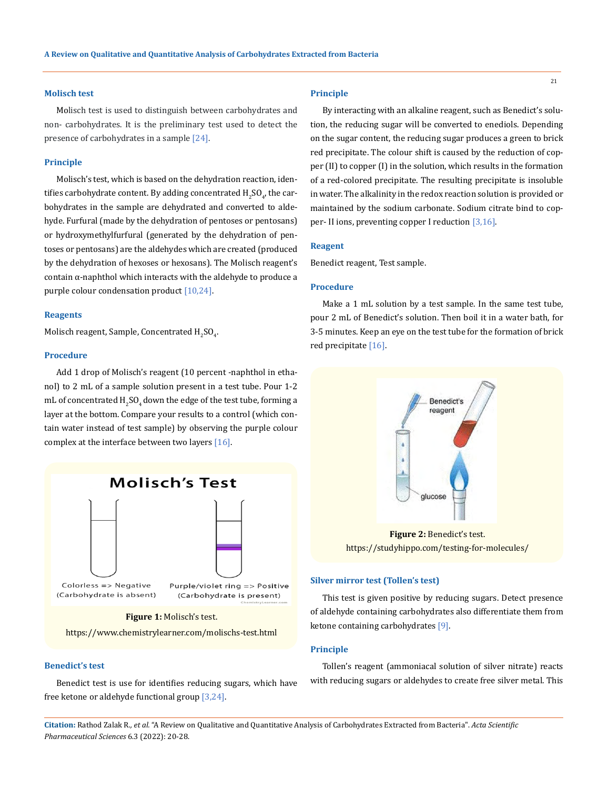## **Molisch test**

Molisch test is used to distinguish between carbohydrates and non- carbohydrates. It is the preliminary test used to detect the presence of carbohydrates in a sample [24].

#### **Principle**

Molisch's test, which is based on the dehydration reaction, identifies carbohydrate content. By adding concentrated  $\rm{H}_{2}SO_{4}$ , the carbohydrates in the sample are dehydrated and converted to aldehyde. Furfural (made by the dehydration of pentoses or pentosans) or hydroxymethylfurfural (generated by the dehydration of pentoses or pentosans) are the aldehydes which are created (produced by the dehydration of hexoses or hexosans). The Molisch reagent's contain α-naphthol which interacts with the aldehyde to produce a purple colour condensation product [10,24].

#### **Reagents**

Molisch reagent, Sample, Concentrated  $\rm{H}_{2}SO_{4}$ .

## **Procedure**

Add 1 drop of Molisch's reagent (10 percent -naphthol in ethanol) to 2 mL of a sample solution present in a test tube. Pour 1-2 mL of concentrated  $\rm{H_2SO_4}$  down the edge of the test tube, forming a layer at the bottom. Compare your results to a control (which contain water instead of test sample) by observing the purple colour complex at the interface between two layers [16].



**Figure 1:** Molisch's test.

https://www.chemistrylearner.com/molischs-test.html

## **Benedict's test**

Benedict test is use for identifies reducing sugars, which have free ketone or aldehyde functional group [3,24].

## **Principle**

By interacting with an alkaline reagent, such as Benedict's solution, the reducing sugar will be converted to enediols. Depending on the sugar content, the reducing sugar produces a green to brick red precipitate. The colour shift is caused by the reduction of copper (II) to copper (I) in the solution, which results in the formation of a red-colored precipitate. The resulting precipitate is insoluble in water. The alkalinity in the redox reaction solution is provided or maintained by the sodium carbonate. Sodium citrate bind to copper- II ions, preventing copper I reduction [3,16].

#### **Reagent**

Benedict reagent, Test sample.

#### **Procedure**

Make a 1 mL solution by a test sample. In the same test tube, pour 2 mL of Benedict's solution. Then boil it in a water bath, for 3-5 minutes. Keep an eye on the test tube for the formation of brick red precipitate [16].



**Figure 2:** Benedict's test. https://studyhippo.com/testing-for-molecules/

# **Silver mirror test (Tollen's test)**

This test is given positive by reducing sugars. Detect presence of aldehyde containing carbohydrates also differentiate them from ketone containing carbohydrates [9].

#### **Principle**

Tollen's reagent (ammoniacal solution of silver nitrate) reacts with reducing sugars or aldehydes to create free silver metal. This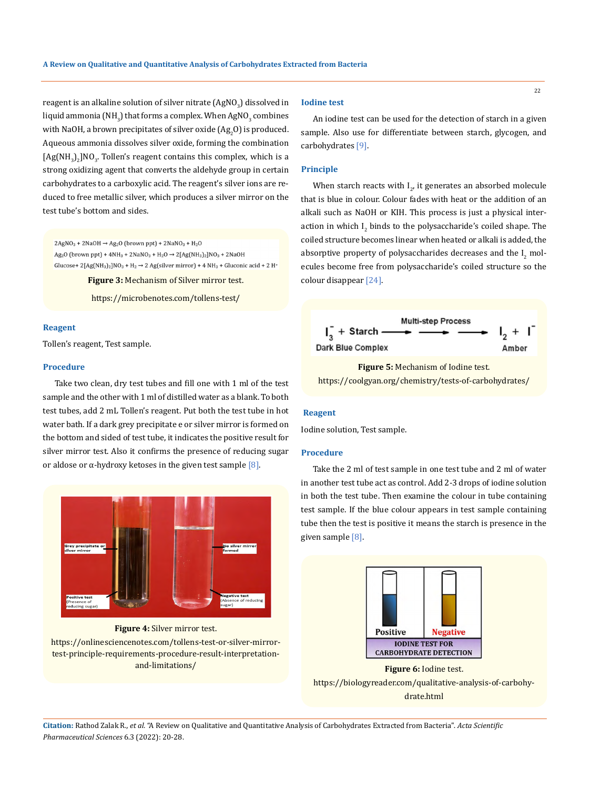reagent is an alkaline solution of silver nitrate (AgNO $_{\rm 3}$ ) dissolved in liquid ammonia (NH $_{\rm 3}$ ) that forms a complex. When AgNO $_{\rm 3}$  combines with NaOH, a brown precipitates of silver oxide  $(\mathrm{Ag}_{2}O)$  is produced. Aqueous ammonia dissolves silver oxide, forming the combination  $[Ag(NH<sub>3</sub>)<sub>2</sub>]NO<sub>3</sub>$ . Tollen's reagent contains this complex, which is a strong oxidizing agent that converts the aldehyde group in certain carbohydrates to a carboxylic acid. The reagent's silver ions are reduced to free metallic silver, which produces a silver mirror on the test tube's bottom and sides.

 $2AgNO<sub>3</sub> + 2NaOH \rightarrow Ag<sub>2</sub>O$  (brown ppt) +  $2NaNO<sub>3</sub> + H<sub>2</sub>O$ Ag<sub>2</sub>O (brown ppt) + 4NH<sub>3</sub> + 2NaNO<sub>3</sub> + H<sub>2</sub>O  $\rightarrow$  2[Ag(NH<sub>3</sub>)<sub>2</sub>]NO<sub>3</sub> + 2NaOH Glucose+ 2[Ag(NH<sub>3</sub>)<sub>2</sub>]NO<sub>3</sub> + H<sub>2</sub>  $\rightarrow$  2 Ag(silver mirror) + 4 NH<sub>3</sub> + Gluconic acid + 2 H<sup>+</sup>

**Figure 3:** Mechanism of Silver mirror test.

https://microbenotes.com/tollens-test/

# **Reagent**

Tollen's reagent, Test sample.

## **Procedure**

Take two clean, dry test tubes and fill one with 1 ml of the test sample and the other with 1 ml of distilled water as a blank. To both test tubes, add 2 mL Tollen's reagent. Put both the test tube in hot water bath. If a dark grey precipitate e or silver mirror is formed on the bottom and sided of test tube, it indicates the positive result for silver mirror test. Also it confirms the presence of reducing sugar or aldose or α-hydroxy ketoses in the given test sample  $[8]$ .



**Figure 4:** Silver mirror test.

https://onlinesciencenotes.com/tollens-test-or-silver-mirrortest-principle-requirements-procedure-result-interpretationand-limitations/

#### **Iodine test**

An iodine test can be used for the detection of starch in a given sample. Also use for differentiate between starch, glycogen, and carbohydrates [9].

# **Principle**

When starch reacts with  $I_{2'}$  it generates an absorbed molecule that is blue in colour. Colour fades with heat or the addition of an alkali such as NaOH or KIH. This process is just a physical interaction in which  $I_2$  binds to the polysaccharide's coiled shape. The coiled structure becomes linear when heated or alkali is added, the absorptive property of polysaccharides decreases and the  $I_2$  molecules become free from polysaccharide's coiled structure so the colour disappear [24].



**Figure 5:** Mechanism of Iodine test. https://coolgyan.org/chemistry/tests-of-carbohydrates/

# **Reagent**

Iodine solution, Test sample.

## **Procedure**

Take the 2 ml of test sample in one test tube and 2 ml of water in another test tube act as control. Add 2-3 drops of iodine solution in both the test tube. Then examine the colour in tube containing test sample. If the blue colour appears in test sample containing tube then the test is positive it means the starch is presence in the given sample [8].



**Figure 6:** Iodine test. https://biologyreader.com/qualitative-analysis-of-carbohydrate.html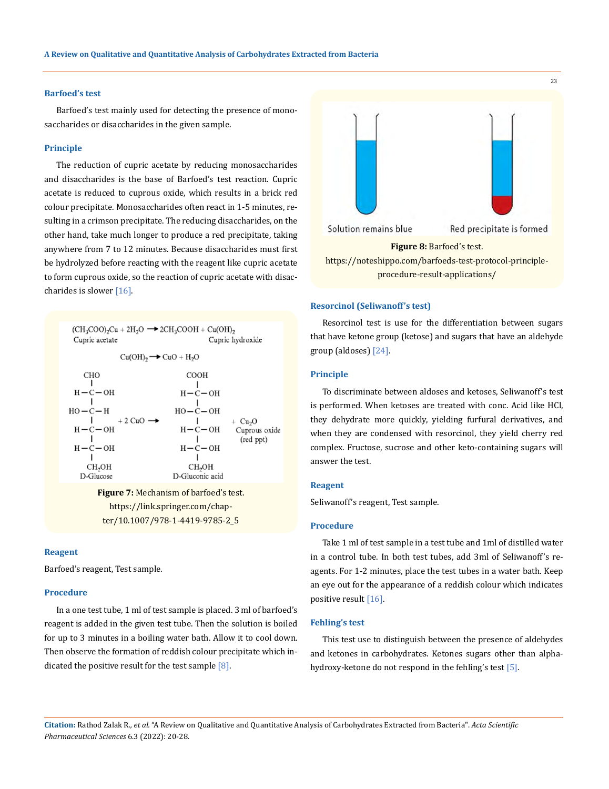## **Barfoed's test**

Barfoed's test mainly used for detecting the presence of monosaccharides or disaccharides in the given sample.

#### **Principle**

The reduction of cupric acetate by reducing monosaccharides and disaccharides is the base of Barfoed's test reaction. Cupric acetate is reduced to cuprous oxide, which results in a brick red colour precipitate. Monosaccharides often react in 1-5 minutes, resulting in a crimson precipitate. The reducing disaccharides, on the other hand, take much longer to produce a red precipitate, taking anywhere from 7 to 12 minutes. Because disaccharides must first be hydrolyzed before reacting with the reagent like cupric acetate to form cuprous oxide, so the reaction of cupric acetate with disaccharides is slower [16].



https://link.springer.com/chapter/10.1007/978-1-4419-9785-2\_5

## **Reagent**

Barfoed's reagent, Test sample.

# **Procedure**

In a one test tube, 1 ml of test sample is placed. 3 ml of barfoed's reagent is added in the given test tube. Then the solution is boiled for up to 3 minutes in a boiling water bath. Allow it to cool down. Then observe the formation of reddish colour precipitate which indicated the positive result for the test sample  $[8]$ .



## **Resorcinol (Seliwanoff's test)**

Resorcinol test is use for the differentiation between sugars that have ketone group (ketose) and sugars that have an aldehyde group (aldoses) [24].

#### **Principle**

To discriminate between aldoses and ketoses, Seliwanoff's test is performed. When ketoses are treated with conc. Acid like HCl, they dehydrate more quickly, yielding furfural derivatives, and when they are condensed with resorcinol, they yield cherry red complex. Fructose, sucrose and other keto-containing sugars will answer the test.

#### **Reagent**

Seliwanoff's reagent, Test sample.

## **Procedure**

Take 1 ml of test sample in a test tube and 1ml of distilled water in a control tube. In both test tubes, add 3ml of Seliwanoff's reagents. For 1-2 minutes, place the test tubes in a water bath. Keep an eye out for the appearance of a reddish colour which indicates positive result [16].

## **Fehling's test**

This test use to distinguish between the presence of aldehydes and ketones in carbohydrates. Ketones sugars other than alphahydroxy-ketone do not respond in the fehling's test [5].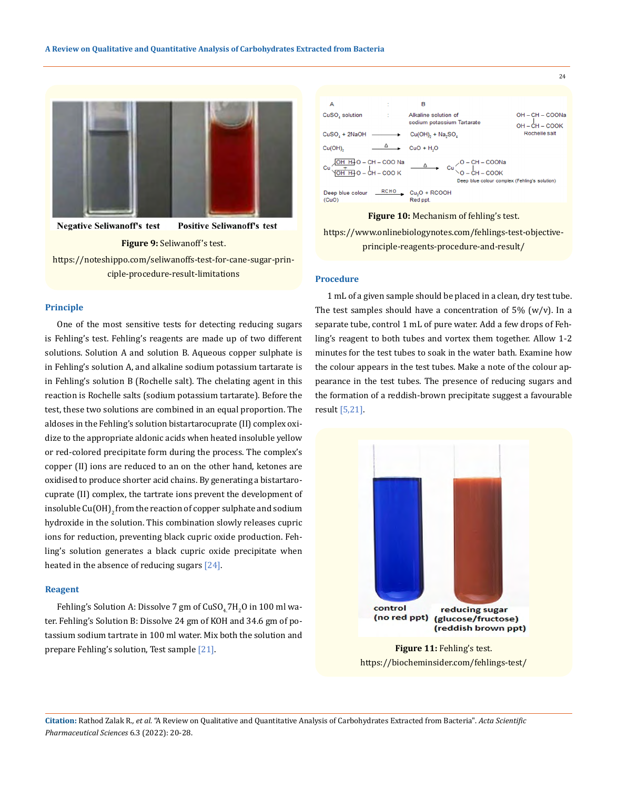

**Negative Seliwanoff's test Positive Seliwanoff's test** 

#### **Figure 9:** Seliwanoff's test.

https://noteshippo.com/seliwanoffs-test-for-cane-sugar-principle-procedure-result-limitations

#### **Principle**

One of the most sensitive tests for detecting reducing sugars is Fehling's test. Fehling's reagents are made up of two different solutions. Solution A and solution B. Aqueous copper sulphate is in Fehling's solution A, and alkaline sodium potassium tartarate is in Fehling's solution B (Rochelle salt). The chelating agent in this reaction is Rochelle salts (sodium potassium tartarate). Before the test, these two solutions are combined in an equal proportion. The aldoses in the Fehling's solution bistartarocuprate (II) complex oxidize to the appropriate aldonic acids when heated insoluble yellow or red-colored precipitate form during the process. The complex's copper (II) ions are reduced to an on the other hand, ketones are oxidised to produce shorter acid chains. By generating a bistartarocuprate (II) complex, the tartrate ions prevent the development of insoluble Cu(OH)<sub>2</sub> from the reaction of copper sulphate and sodium hydroxide in the solution. This combination slowly releases cupric ions for reduction, preventing black cupric oxide production. Fehling's solution generates a black cupric oxide precipitate when heated in the absence of reducing sugars [24].

## **Reagent**

Fehling's Solution A: Dissolve  $7$  gm of  $CuSO_4/H_2O$  in  $100$  ml water. Fehling's Solution B: Dissolve 24 gm of KOH and 34.6 gm of potassium sodium tartrate in 100 ml water. Mix both the solution and prepare Fehling's solution, Test sample [21].



**Figure 10:** Mechanism of fehling's test.

https://www.onlinebiologynotes.com/fehlings-test-objectiveprinciple-reagents-procedure-and-result/

# **Procedure**

1 mL of a given sample should be placed in a clean, dry test tube. The test samples should have a concentration of  $5\%$  (w/v). In a separate tube, control 1 mL of pure water. Add a few drops of Fehling's reagent to both tubes and vortex them together. Allow 1-2 minutes for the test tubes to soak in the water bath. Examine how the colour appears in the test tubes. Make a note of the colour appearance in the test tubes. The presence of reducing sugars and the formation of a reddish-brown precipitate suggest a favourable result [5,21].



https://biocheminsider.com/fehlings-test/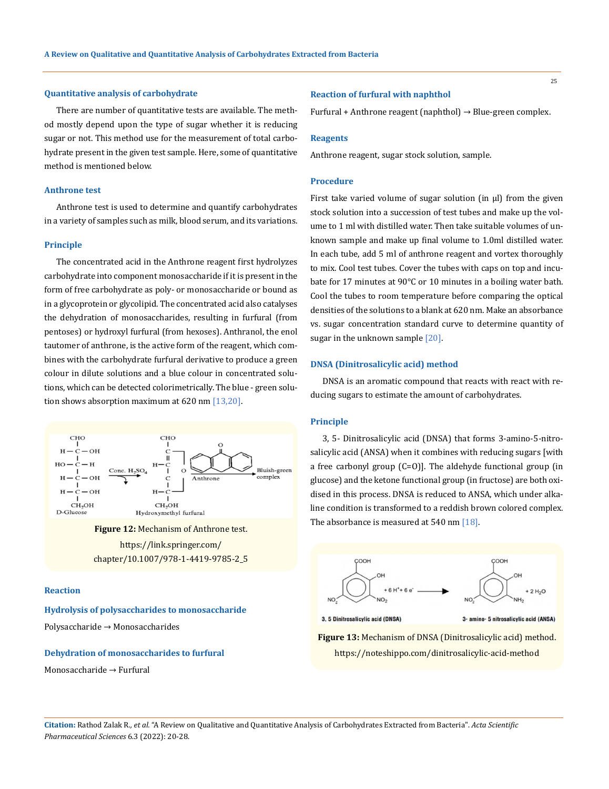## **Quantitative analysis of carbohydrate**

There are number of quantitative tests are available. The method mostly depend upon the type of sugar whether it is reducing sugar or not. This method use for the measurement of total carbohydrate present in the given test sample. Here, some of quantitative method is mentioned below.

## **Anthrone test**

Anthrone test is used to determine and quantify carbohydrates in a variety of samples such as milk, blood serum, and its variations.

## **Principle**

The concentrated acid in the Anthrone reagent first hydrolyzes carbohydrate into component monosaccharide if it is present in the form of free carbohydrate as poly- or monosaccharide or bound as in a glycoprotein or glycolipid. The concentrated acid also catalyses the dehydration of monosaccharides, resulting in furfural (from pentoses) or hydroxyl furfural (from hexoses). Anthranol, the enol tautomer of anthrone, is the active form of the reagent, which combines with the carbohydrate furfural derivative to produce a green colour in dilute solutions and a blue colour in concentrated solutions, which can be detected colorimetrically. The blue - green solution shows absorption maximum at 620 nm [13,20].



**Figure 12:** Mechanism of Anthrone test. https://link.springer.com/ chapter/10.1007/978-1-4419-9785-2\_5

# **Reaction**

**Hydrolysis of polysaccharides to monosaccharide** Polysaccharide → Monosaccharides

# **Dehydration of monosaccharides to furfural**

Monosaccharide → Furfural

## **Reaction of furfural with naphthol**

Furfural + Anthrone reagent (naphthol)  $\rightarrow$  Blue-green complex.

## **Reagents**

Anthrone reagent, sugar stock solution, sample.

## **Procedure**

First take varied volume of sugar solution (in μl) from the given stock solution into a succession of test tubes and make up the volume to 1 ml with distilled water. Then take suitable volumes of unknown sample and make up final volume to 1.0ml distilled water. In each tube, add 5 ml of anthrone reagent and vortex thoroughly to mix. Cool test tubes. Cover the tubes with caps on top and incubate for 17 minutes at 90°C or 10 minutes in a boiling water bath. Cool the tubes to room temperature before comparing the optical densities of the solutions to a blank at 620 nm. Make an absorbance vs. sugar concentration standard curve to determine quantity of sugar in the unknown sample [20].

## **DNSA (Dinitrosalicylic acid) method**

DNSA is an aromatic compound that reacts with react with reducing sugars to estimate the amount of carbohydrates.

## **Principle**

3, 5- Dinitrosalicylic acid (DNSA) that forms 3-amino-5-nitrosalicylic acid (ANSA) when it combines with reducing sugars [with a free carbonyl group (C=O)]. The aldehyde functional group (in glucose) and the ketone functional group (in fructose) are both oxidised in this process. DNSA is reduced to ANSA, which under alkaline condition is transformed to a reddish brown colored complex. The absorbance is measured at 540 nm [18].





3, 5 Dinitrosalicylic acid (DNSA)

3- amino- 5 nitrosalicylic acid (ANSA)

**Figure 13:** Mechanism of DNSA (Dinitrosalicylic acid) method. https://noteshippo.com/dinitrosalicylic-acid-method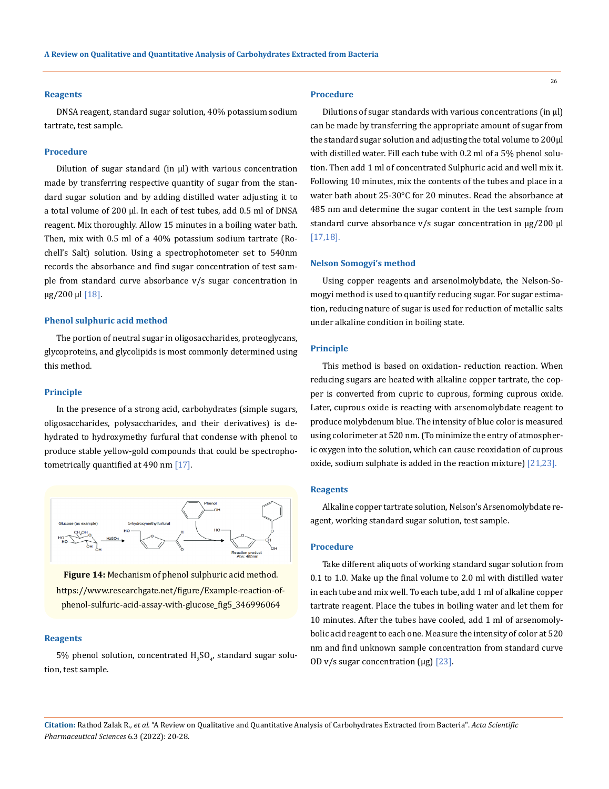#### **Reagents**

DNSA reagent, standard sugar solution, 40% potassium sodium tartrate, test sample.

#### **Procedure**

Dilution of sugar standard (in μl) with various concentration made by transferring respective quantity of sugar from the standard sugar solution and by adding distilled water adjusting it to a total volume of 200 µl. In each of test tubes, add 0.5 ml of DNSA reagent. Mix thoroughly. Allow 15 minutes in a boiling water bath. Then, mix with 0.5 ml of a 40% potassium sodium tartrate (Rochell's Salt) solution. Using a spectrophotometer set to 540nm records the absorbance and find sugar concentration of test sample from standard curve absorbance v/s sugar concentration in µg/200 µl [18].

#### **Phenol sulphuric acid method**

The portion of neutral sugar in oligosaccharides, proteoglycans, glycoproteins, and glycolipids is most commonly determined using this method.

#### **Principle**

In the presence of a strong acid, carbohydrates (simple sugars, oligosaccharides, polysaccharides, and their derivatives) is dehydrated to hydroxymethy furfural that condense with phenol to produce stable yellow-gold compounds that could be spectrophotometrically quantified at 490 nm [17].



**Figure 14:** Mechanism of phenol sulphuric acid method.

https://www.researchgate.net/figure/Example-reaction-ofphenol-sulfuric-acid-assay-with-glucose\_fig5\_346996064

#### **Reagents**

5% phenol solution, concentrated  ${\rm H_2SO}_{4'}$  standard sugar solution, test sample.

## **Procedure**

Dilutions of sugar standards with various concentrations (in μl) can be made by transferring the appropriate amount of sugar from the standard sugar solution and adjusting the total volume to 200μl with distilled water. Fill each tube with 0.2 ml of a 5% phenol solution. Then add 1 ml of concentrated Sulphuric acid and well mix it. Following 10 minutes, mix the contents of the tubes and place in a water bath about 25-30°C for 20 minutes. Read the absorbance at 485 nm and determine the sugar content in the test sample from standard curve absorbance v/s sugar concentration in  $\mu$ g/200 µl [17,18].

## **Nelson Somogyi's method**

Using copper reagents and arsenolmolybdate, the Nelson-Somogyi method is used to quantify reducing sugar. For sugar estimation, reducing nature of sugar is used for reduction of metallic salts under alkaline condition in boiling state.

#### **Principle**

This method is based on oxidation- reduction reaction. When reducing sugars are heated with alkaline copper tartrate, the copper is converted from cupric to cuprous, forming cuprous oxide. Later, cuprous oxide is reacting with arsenomolybdate reagent to produce molybdenum blue. The intensity of blue color is measured using colorimeter at 520 nm. (To minimize the entry of atmospheric oxygen into the solution, which can cause reoxidation of cuprous oxide, sodium sulphate is added in the reaction mixture) [21,23].

#### **Reagents**

Alkaline copper tartrate solution, Nelson's Arsenomolybdate reagent, working standard sugar solution, test sample.

#### **Procedure**

Take different aliquots of working standard sugar solution from 0.1 to 1.0. Make up the final volume to 2.0 ml with distilled water in each tube and mix well. To each tube, add 1 ml of alkaline copper tartrate reagent. Place the tubes in boiling water and let them for 10 minutes. After the tubes have cooled, add 1 ml of arsenomolybolic acid reagent to each one. Measure the intensity of color at 520 nm and find unknown sample concentration from standard curve OD v/s sugar concentration ( $\mu$ g) [23].

**Citation:** Rathod Zalak R*., et al.* "A Review on Qualitative and Quantitative Analysis of Carbohydrates Extracted from Bacteria". *Acta Scientific Pharmaceutical Sciences* 6.3 (2022): 20-28.

26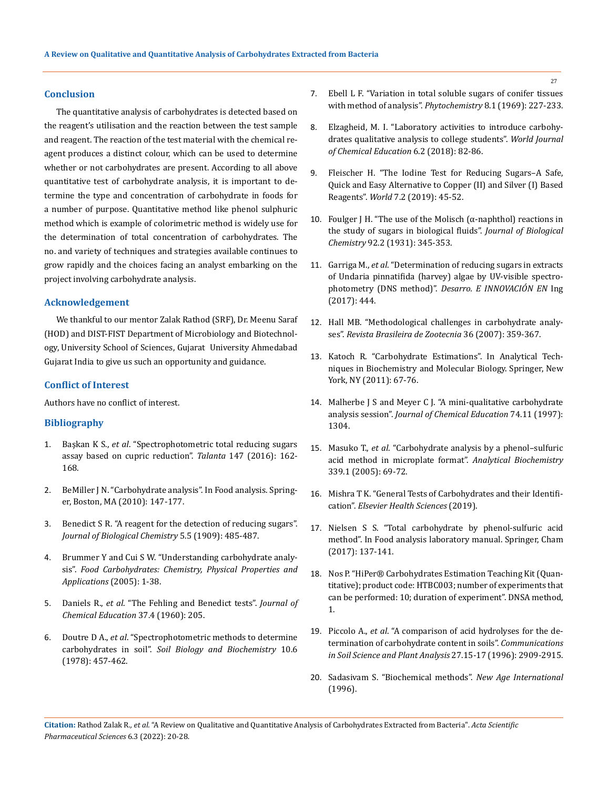## **Conclusion**

The quantitative analysis of carbohydrates is detected based on the reagent's utilisation and the reaction between the test sample and reagent. The reaction of the test material with the chemical reagent produces a distinct colour, which can be used to determine whether or not carbohydrates are present. According to all above quantitative test of carbohydrate analysis, it is important to determine the type and concentration of carbohydrate in foods for a number of purpose. Quantitative method like phenol sulphuric method which is example of colorimetric method is widely use for the determination of total concentration of carbohydrates. The no. and variety of techniques and strategies available continues to grow rapidly and the choices facing an analyst embarking on the project involving carbohydrate analysis.

# **Acknowledgement**

We thankful to our mentor Zalak Rathod (SRF), Dr. Meenu Saraf (HOD) and DIST-FIST Department of Microbiology and Biotechnology, University School of Sciences, Gujarat University Ahmedabad Gujarat India to give us such an opportunity and guidance.

## **Conflict of Interest**

Authors have no conflict of interest.

# **Bibliography**

- 1. Başkan K S., *et al*[. "Spectrophotometric total reducing sugars](https://pubmed.ncbi.nlm.nih.gov/26592591/)  [assay based on cupric reduction".](https://pubmed.ncbi.nlm.nih.gov/26592591/) *Talanta* 147 (2016): 162- [168.](https://pubmed.ncbi.nlm.nih.gov/26592591/)
- 2. BeMiller J N. "Carbohydrate analysis". In Food analysis. Springer, Boston, MA (2010): 147-177.
- 3. [Benedict S R. "A reagent for the detection of reducing sugars".](https://www.sciencedirect.com/science/article/pii/S0021925818916455)  *[Journal of Biological Chemistry](https://www.sciencedirect.com/science/article/pii/S0021925818916455)* 5.5 (1909): 485-487.
- 4. [Brummer Y and Cui S W. "Understanding carbohydrate analy](https://www.researchgate.net/publication/265660190_Understanding_Carbohydrate_Analysis)sis". *[Food Carbohydrates: Chemistry, Physical Properties and](https://www.researchgate.net/publication/265660190_Understanding_Carbohydrate_Analysis)  [Applications](https://www.researchgate.net/publication/265660190_Understanding_Carbohydrate_Analysis)* (2005): 1-38.
- 5. Daniels R., *et al*[. "The Fehling and Benedict tests".](https://pubs.acs.org/doi/10.1021/ed037p205) *Journal of [Chemical Education](https://pubs.acs.org/doi/10.1021/ed037p205)* 37.4 (1960): 205.
- 6. Doutre D A., *et al*. "Spectrophotometric methods to determine carbohydrates in soil". *Soil Biology and Biochemistry* 10.6 (1978): 457-462.
- 7. [Ebell L F. "Variation in total soluble sugars of conifer tissues](https://www.sciencedirect.com/science/article/abs/pii/S0031942200858185)  [with method of analysis".](https://www.sciencedirect.com/science/article/abs/pii/S0031942200858185) *Phytochemistry* 8.1 (1969): 227-233.
- 8. [Elzagheid, M. I. "Laboratory activities to introduce carbohy](https://www.researchgate.net/publication/322952552_Laboratory_Activities_to_Introduce_Carbohydrates_Qualitative_Analysis_to_College_Students)[drates qualitative analysis to college students".](https://www.researchgate.net/publication/322952552_Laboratory_Activities_to_Introduce_Carbohydrates_Qualitative_Analysis_to_College_Students) *World Journal [of Chemical Education](https://www.researchgate.net/publication/322952552_Laboratory_Activities_to_Introduce_Carbohydrates_Qualitative_Analysis_to_College_Students)* 6.2 (2018): 82-86.
- 9. [Fleischer H. "The Iodine Test for Reducing Sugars–A Safe,](https://www.researchgate.net/publication/332346727_The_Iodine_Test_for_Reducing_Sugars_-_A_Safe_Quick_and_Easy_Alternative_to_CopperII_and_SilverI_Based_Reagents)  [Quick and Easy Alternative to Copper \(II\) and Silver \(I\) Based](https://www.researchgate.net/publication/332346727_The_Iodine_Test_for_Reducing_Sugars_-_A_Safe_Quick_and_Easy_Alternative_to_CopperII_and_SilverI_Based_Reagents)  Reagents". *World* [7.2 \(2019\): 45-52.](https://www.researchgate.net/publication/332346727_The_Iodine_Test_for_Reducing_Sugars_-_A_Safe_Quick_and_Easy_Alternative_to_CopperII_and_SilverI_Based_Reagents)
- 10. Foulger J H. "The use of the Molisch ( $\alpha$ -naphthol) reactions in [the study of sugars in biological fluids".](https://www.sciencedirect.com/science/article/pii/S0021925818765228) *Journal of Biological Chemistry* [92.2 \(1931\): 345-353.](https://www.sciencedirect.com/science/article/pii/S0021925818765228)
- 11. Garriga M., *et al*[. "Determination of reducing sugars in extracts](https://www.semanticscholar.org/paper/Determination-of-reducing-sugars-in-extracts-of-by-Garriga-Almaraz/ba1d6fd2396da4e7d502def6b67ccc6bfe1e5fd5)  [of Undaria pinnatifida \(harvey\) algae by UV-visible spectro](https://www.semanticscholar.org/paper/Determination-of-reducing-sugars-in-extracts-of-by-Garriga-Almaraz/ba1d6fd2396da4e7d502def6b67ccc6bfe1e5fd5)photometry (DNS method)". *[Desarro. E INNOVACIÓN EN](https://www.semanticscholar.org/paper/Determination-of-reducing-sugars-in-extracts-of-by-Garriga-Almaraz/ba1d6fd2396da4e7d502def6b67ccc6bfe1e5fd5)* Ing [\(2017\): 444.](https://www.semanticscholar.org/paper/Determination-of-reducing-sugars-in-extracts-of-by-Garriga-Almaraz/ba1d6fd2396da4e7d502def6b67ccc6bfe1e5fd5)
- 12. [Hall MB. "Methodological challenges in carbohydrate analy](https://www.scielo.br/j/rbz/a/hmkLqbxRqhS9pbKxpM8w4Xm/?lang=en)ses". *[Revista Brasileira de Zootecnia](https://www.scielo.br/j/rbz/a/hmkLqbxRqhS9pbKxpM8w4Xm/?lang=en)* 36 (2007): 359-367.
- 13. Katoch R. "Carbohydrate Estimations". In Analytical Techniques in Biochemistry and Molecular Biology. Springer, New York, NY (2011): 67-76.
- 14. [Malherbe J S and Meyer C J. "A mini-qualitative carbohydrate](https://pubs.acs.org/doi/10.1021/ed074p1304)  analysis session". *[Journal of Chemical Education](https://pubs.acs.org/doi/10.1021/ed074p1304)* 74.11 (1997): [1304.](https://pubs.acs.org/doi/10.1021/ed074p1304)
- 15. Masuko T., *et al*[. "Carbohydrate analysis by a phenol–sulfuric](https://www.sciencedirect.com/science/article/abs/pii/S0003269704009522)  [acid method in microplate format".](https://www.sciencedirect.com/science/article/abs/pii/S0003269704009522) *Analytical Biochemistry* [339.1 \(2005\): 69-72.](https://www.sciencedirect.com/science/article/abs/pii/S0003269704009522)
- 16. Mishra T K. "General Tests of Carbohydrates and their Identification". *Elsevier Health Sciences* (2019).
- 17. Nielsen S S. "Total carbohydrate by phenol-sulfuric acid method". In Food analysis laboratory manual. Springer, Cham (2017): 137-141.
- 18. Nos P. "HiPer® Carbohydrates Estimation Teaching Kit (Quantitative); product code: HTBC003; number of experiments that can be performed: 10; duration of experiment". DNSA method, 1.
- 19. Piccolo A., *et al*[. "A comparison of acid hydrolyses for the de](https://www.tandfonline.com/doi/abs/10.1080/00103629609369749)[termination of carbohydrate content in soils".](https://www.tandfonline.com/doi/abs/10.1080/00103629609369749) *Communications [in Soil Science and Plant Analysis](https://www.tandfonline.com/doi/abs/10.1080/00103629609369749)* 27.15-17 (1996): 2909-2915.
- 20. Sadasivam S. "Biochemical methods". *New Age International* (1996).

**Citation:** Rathod Zalak R*., et al.* "A Review on Qualitative and Quantitative Analysis of Carbohydrates Extracted from Bacteria". *Acta Scientific Pharmaceutical Sciences* 6.3 (2022): 20-28.

27